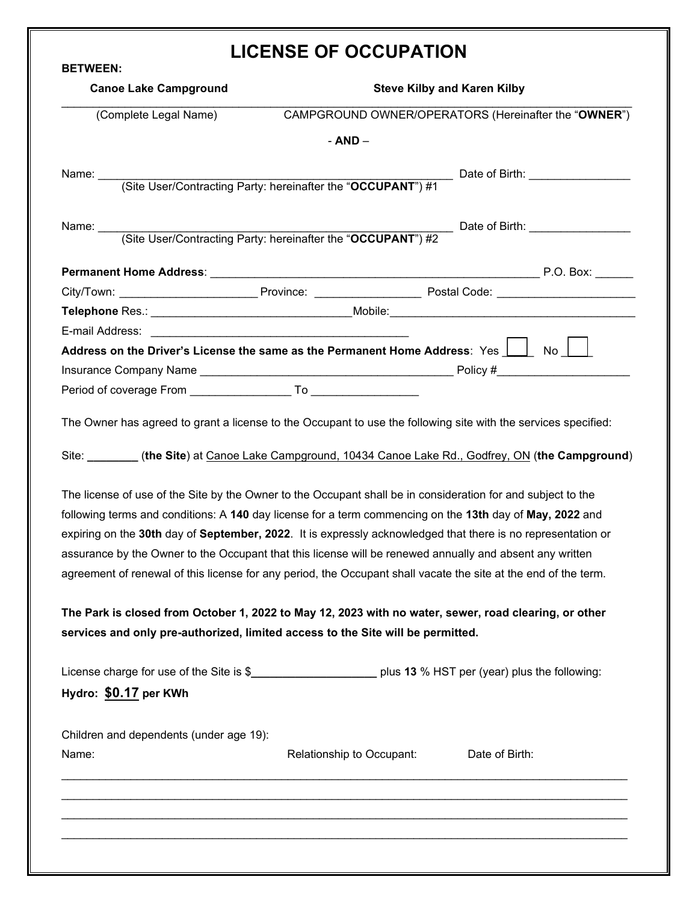## **LICENSE OF OCCUPATION**

| <b>BETWEEN:</b>                                                                                                                                                                                                                                                                                                                                                                                                                                                                                                                                                                                                                                                                                                                                                                                                                                                                                                                                                                                                                                                                                                                                                                                                             | LIVENJE UF UVVUFATIVN                                        |                                                              |  |  |
|-----------------------------------------------------------------------------------------------------------------------------------------------------------------------------------------------------------------------------------------------------------------------------------------------------------------------------------------------------------------------------------------------------------------------------------------------------------------------------------------------------------------------------------------------------------------------------------------------------------------------------------------------------------------------------------------------------------------------------------------------------------------------------------------------------------------------------------------------------------------------------------------------------------------------------------------------------------------------------------------------------------------------------------------------------------------------------------------------------------------------------------------------------------------------------------------------------------------------------|--------------------------------------------------------------|--------------------------------------------------------------|--|--|
| <b>Canoe Lake Campground</b>                                                                                                                                                                                                                                                                                                                                                                                                                                                                                                                                                                                                                                                                                                                                                                                                                                                                                                                                                                                                                                                                                                                                                                                                | <b>Steve Kilby and Karen Kilby</b>                           |                                                              |  |  |
| (Complete Legal Name)                                                                                                                                                                                                                                                                                                                                                                                                                                                                                                                                                                                                                                                                                                                                                                                                                                                                                                                                                                                                                                                                                                                                                                                                       |                                                              | CAMPGROUND OWNER/OPERATORS (Hereinafter the "OWNER")         |  |  |
|                                                                                                                                                                                                                                                                                                                                                                                                                                                                                                                                                                                                                                                                                                                                                                                                                                                                                                                                                                                                                                                                                                                                                                                                                             | - AND -                                                      |                                                              |  |  |
| Name: $\frac{1}{2}$                                                                                                                                                                                                                                                                                                                                                                                                                                                                                                                                                                                                                                                                                                                                                                                                                                                                                                                                                                                                                                                                                                                                                                                                         |                                                              | ____ Date of Birth: _______________                          |  |  |
|                                                                                                                                                                                                                                                                                                                                                                                                                                                                                                                                                                                                                                                                                                                                                                                                                                                                                                                                                                                                                                                                                                                                                                                                                             | (Site User/Contracting Party: hereinafter the "OCCUPANT") #1 |                                                              |  |  |
| Name: $\_\_$                                                                                                                                                                                                                                                                                                                                                                                                                                                                                                                                                                                                                                                                                                                                                                                                                                                                                                                                                                                                                                                                                                                                                                                                                |                                                              |                                                              |  |  |
|                                                                                                                                                                                                                                                                                                                                                                                                                                                                                                                                                                                                                                                                                                                                                                                                                                                                                                                                                                                                                                                                                                                                                                                                                             |                                                              | (Site User/Contracting Party: hereinafter the "OCCUPANT") #2 |  |  |
|                                                                                                                                                                                                                                                                                                                                                                                                                                                                                                                                                                                                                                                                                                                                                                                                                                                                                                                                                                                                                                                                                                                                                                                                                             |                                                              |                                                              |  |  |
|                                                                                                                                                                                                                                                                                                                                                                                                                                                                                                                                                                                                                                                                                                                                                                                                                                                                                                                                                                                                                                                                                                                                                                                                                             |                                                              |                                                              |  |  |
|                                                                                                                                                                                                                                                                                                                                                                                                                                                                                                                                                                                                                                                                                                                                                                                                                                                                                                                                                                                                                                                                                                                                                                                                                             |                                                              |                                                              |  |  |
| E-mail Address: 2008. 2009. 2009. 2009. 2010. 2010. 2010. 2010. 2010. 2010. 2010. 2010. 2010. 2010. 2010. 2010                                                                                                                                                                                                                                                                                                                                                                                                                                                                                                                                                                                                                                                                                                                                                                                                                                                                                                                                                                                                                                                                                                              |                                                              |                                                              |  |  |
| Address on the Driver's License the same as the Permanent Home Address: Yes 18 No                                                                                                                                                                                                                                                                                                                                                                                                                                                                                                                                                                                                                                                                                                                                                                                                                                                                                                                                                                                                                                                                                                                                           |                                                              |                                                              |  |  |
|                                                                                                                                                                                                                                                                                                                                                                                                                                                                                                                                                                                                                                                                                                                                                                                                                                                                                                                                                                                                                                                                                                                                                                                                                             |                                                              |                                                              |  |  |
|                                                                                                                                                                                                                                                                                                                                                                                                                                                                                                                                                                                                                                                                                                                                                                                                                                                                                                                                                                                                                                                                                                                                                                                                                             |                                                              |                                                              |  |  |
|                                                                                                                                                                                                                                                                                                                                                                                                                                                                                                                                                                                                                                                                                                                                                                                                                                                                                                                                                                                                                                                                                                                                                                                                                             |                                                              |                                                              |  |  |
|                                                                                                                                                                                                                                                                                                                                                                                                                                                                                                                                                                                                                                                                                                                                                                                                                                                                                                                                                                                                                                                                                                                                                                                                                             |                                                              |                                                              |  |  |
|                                                                                                                                                                                                                                                                                                                                                                                                                                                                                                                                                                                                                                                                                                                                                                                                                                                                                                                                                                                                                                                                                                                                                                                                                             |                                                              |                                                              |  |  |
|                                                                                                                                                                                                                                                                                                                                                                                                                                                                                                                                                                                                                                                                                                                                                                                                                                                                                                                                                                                                                                                                                                                                                                                                                             |                                                              |                                                              |  |  |
| Period of coverage From To To<br>The Owner has agreed to grant a license to the Occupant to use the following site with the services specified:<br>Site: ________ (the Site) at Canoe Lake Campground, 10434 Canoe Lake Rd., Godfrey, ON (the Campground)<br>The license of use of the Site by the Owner to the Occupant shall be in consideration for and subject to the<br>following terms and conditions: A 140 day license for a term commencing on the 13th day of May, 2022 and<br>expiring on the 30th day of September, 2022. It is expressly acknowledged that there is no representation or<br>assurance by the Owner to the Occupant that this license will be renewed annually and absent any written<br>agreement of renewal of this license for any period, the Occupant shall vacate the site at the end of the term.<br>The Park is closed from October 1, 2022 to May 12, 2023 with no water, sewer, road clearing, or other<br>services and only pre-authorized, limited access to the Site will be permitted.<br>License charge for use of the Site is \$______________________________ plus 13 % HST per (year) plus the following:<br>Hydro: \$0.17 per KWh<br>Children and dependents (under age 19): |                                                              |                                                              |  |  |

\_\_\_\_\_\_\_\_\_\_\_\_\_\_\_\_\_\_\_\_\_\_\_\_\_\_\_\_\_\_\_\_\_\_\_\_\_\_\_\_\_\_\_\_\_\_\_\_\_\_\_\_\_\_\_\_\_\_\_\_\_\_\_\_\_\_\_\_\_\_\_\_\_\_\_\_\_\_\_\_\_\_\_\_\_\_\_\_\_\_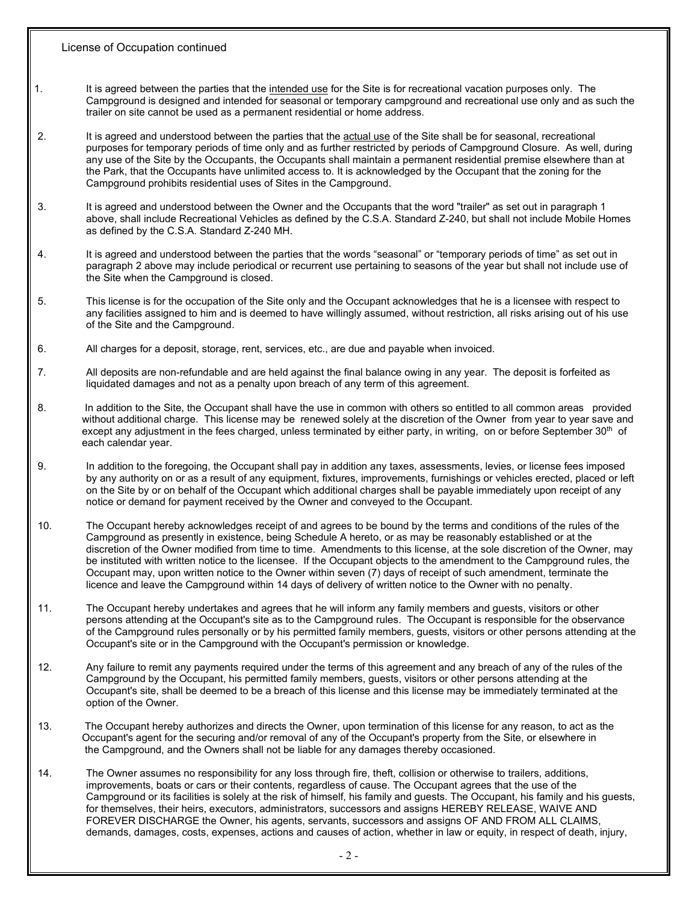- 1. It is agreed between the parties that the intended use for the Site is for recreational vacation purposes only. The Campground is designed and intended for seasonal or temporary campground and recreational use only and as such the trailer on site cannot be used as a permanent residential or home address.
- 2. It is agreed and understood between the parties that the actual use of the Site shall be for seasonal, recreational purposes for temporary periods of time only and as further restricted by periods of Campground Closure. As well, during any use of the Site by the Occupants, the Occupants shall maintain a permanent residential premise elsewhere than at the Park, that the Occupants have unlimited access to. It is acknowledged by the Occupant that the zoning for the Campground prohibits residential uses of Sites in the Campground.
- 3. It is agreed and understood between the Owner and the Occupants that the word "trailer" as set out in paragraph 1 above, shall include Recreational Vehicles as defined by the C.S.A. Standard Z-240, but shall not include Mobile Homes as defined by the C.S.A. Standard Z-240 MH.
- 4. It is agreed and understood between the parties that the words "seasonal" or "temporary periods of time" as set out in paragraph 2 above may include periodical or recurrent use pertaining to seasons of the year but shall not include use of the Site when the Campground is closed.
- 5. This license is for the occupation of the Site only and the Occupant acknowledges that he is a licensee with respect to any facilities assigned to him and is deemed to have willingly assumed, without restriction, all risks arising out of his use of the Site and the Campground.
- 6. All charges for a deposit, storage, rent, services, etc., are due and payable when invoiced.
- 7*.* All deposits are non-refundable and are held against the final balance owing in any year. The deposit is forfeited as liquidated damages and not as a penalty upon breach of any term of this agreement.
- 8. In addition to the Site, the Occupant shall have the use in common with others so entitled to all common areas provided without additional charge. This license may be renewed solely at the discretion of the Owner from year to year save and except any adjustment in the fees charged, unless terminated by either party, in writing, on or before September 30<sup>th</sup> of each calendar year.
- 9. In addition to the foregoing, the Occupant shall pay in addition any taxes, assessments, levies, or license fees imposed by any authority on or as a result of any equipment, fixtures, improvements, furnishings or vehicles erected, placed or left on the Site by or on behalf of the Occupant which additional charges shall be payable immediately upon receipt of any notice or demand for payment received by the Owner and conveyed to the Occupant.
- 10. The Occupant hereby acknowledges receipt of and agrees to be bound by the terms and conditions of the rules of the Campground as presently in existence, being Schedule A hereto, or as may be reasonably established or at the discretion of the Owner modified from time to time. Amendments to this license, at the sole discretion of the Owner, may be instituted with written notice to the licensee. If the Occupant objects to the amendment to the Campground rules, the Occupant may, upon written notice to the Owner within seven (7) days of receipt of such amendment, terminate the licence and leave the Campground within 14 days of delivery of written notice to the Owner with no penalty.
- 11. The Occupant hereby undertakes and agrees that he will inform any family members and guests, visitors or other persons attending at the Occupant's site as to the Campground rules. The Occupant is responsible for the observance of the Campground rules personally or by his permitted family members, guests, visitors or other persons attending at the Occupant's site or in the Campground with the Occupant's permission or knowledge.
- 12. Any failure to remit any payments required under the terms of this agreement and any breach of any of the rules of the Campground by the Occupant, his permitted family members, guests, visitors or other persons attending at the Occupant's site, shall be deemed to be a breach of this license and this license may be immediately terminated at the option of the Owner.
- 13. The Occupant hereby authorizes and directs the Owner, upon termination of this license for any reason, to act as the Occupant's agent for the securing and/or removal of any of the Occupant's property from the Site, or elsewhere in the Campground, and the Owners shall not be liable for any damages thereby occasioned.
- 14. The Owner assumes no responsibility for any loss through fire, theft, collision or otherwise to trailers, additions, improvements, boats or cars or their contents, regardless of cause. The Occupant agrees that the use of the Campground or its facilities is solely at the risk of himself, his family and guests. The Occupant, his family and his guests, for themselves, their heirs, executors, administrators, successors and assigns HEREBY RELEASE, WAIVE AND FOREVER DISCHARGE the Owner, his agents, servants, successors and assigns OF AND FROM ALL CLAIMS, demands, damages, costs, expenses, actions and causes of action, whether in law or equity, in respect of death, injury,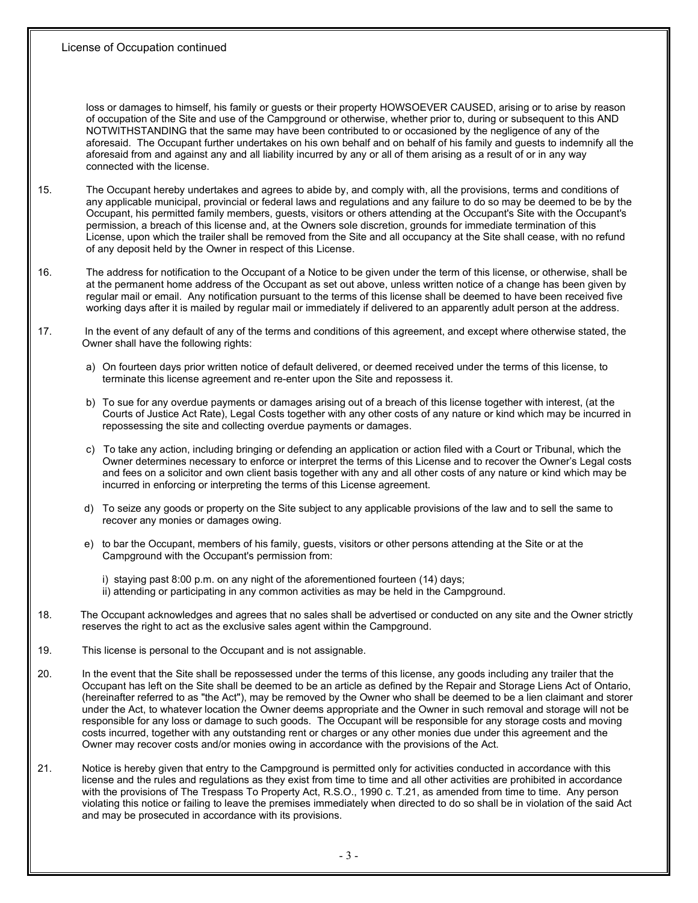loss or damages to himself, his family or guests or their property HOWSOEVER CAUSED, arising or to arise by reason of occupation of the Site and use of the Campground or otherwise, whether prior to, during or subsequent to this AND NOTWITHSTANDING that the same may have been contributed to or occasioned by the negligence of any of the aforesaid. The Occupant further undertakes on his own behalf and on behalf of his family and guests to indemnify all the aforesaid from and against any and all liability incurred by any or all of them arising as a result of or in any way connected with the license.

- 15. The Occupant hereby undertakes and agrees to abide by, and comply with, all the provisions, terms and conditions of any applicable municipal, provincial or federal laws and regulations and any failure to do so may be deemed to be by the Occupant, his permitted family members, guests, visitors or others attending at the Occupant's Site with the Occupant's permission, a breach of this license and, at the Owners sole discretion, grounds for immediate termination of this License, upon which the trailer shall be removed from the Site and all occupancy at the Site shall cease, with no refund of any deposit held by the Owner in respect of this License.
- 16. The address for notification to the Occupant of a Notice to be given under the term of this license, or otherwise, shall be at the permanent home address of the Occupant as set out above, unless written notice of a change has been given by regular mail or email. Any notification pursuant to the terms of this license shall be deemed to have been received five working days after it is mailed by regular mail or immediately if delivered to an apparently adult person at the address.
- 17. In the event of any default of any of the terms and conditions of this agreement, and except where otherwise stated, the Owner shall have the following rights:
	- a) On fourteen days prior written notice of default delivered, or deemed received under the terms of this license, to terminate this license agreement and re-enter upon the Site and repossess it.
	- b) To sue for any overdue payments or damages arising out of a breach of this license together with interest, (at the Courts of Justice Act Rate), Legal Costs together with any other costs of any nature or kind which may be incurred in repossessing the site and collecting overdue payments or damages.
	- c) To take any action, including bringing or defending an application or action filed with a Court or Tribunal, which the Owner determines necessary to enforce or interpret the terms of this License and to recover the Owner's Legal costs and fees on a solicitor and own client basis together with any and all other costs of any nature or kind which may be incurred in enforcing or interpreting the terms of this License agreement.
	- d) To seize any goods or property on the Site subject to any applicable provisions of the law and to sell the same to recover any monies or damages owing.
	- e) to bar the Occupant, members of his family, guests, visitors or other persons attending at the Site or at the Campground with the Occupant's permission from:
		- i) staying past 8:00 p.m. on any night of the aforementioned fourteen (14) days; ii) attending or participating in any common activities as may be held in the Campground.
- 18. The Occupant acknowledges and agrees that no sales shall be advertised or conducted on any site and the Owner strictly reserves the right to act as the exclusive sales agent within the Campground.
- 19. This license is personal to the Occupant and is not assignable.
- 20. In the event that the Site shall be repossessed under the terms of this license, any goods including any trailer that the Occupant has left on the Site shall be deemed to be an article as defined by the Repair and Storage Liens Act of Ontario, (hereinafter referred to as "the Act"), may be removed by the Owner who shall be deemed to be a lien claimant and storer under the Act, to whatever location the Owner deems appropriate and the Owner in such removal and storage will not be responsible for any loss or damage to such goods. The Occupant will be responsible for any storage costs and moving costs incurred, together with any outstanding rent or charges or any other monies due under this agreement and the Owner may recover costs and/or monies owing in accordance with the provisions of the Act.
- 21. Notice is hereby given that entry to the Campground is permitted only for activities conducted in accordance with this license and the rules and regulations as they exist from time to time and all other activities are prohibited in accordance with the provisions of The Trespass To Property Act, R.S.O., 1990 c. T.21, as amended from time to time. Any person violating this notice or failing to leave the premises immediately when directed to do so shall be in violation of the said Act and may be prosecuted in accordance with its provisions.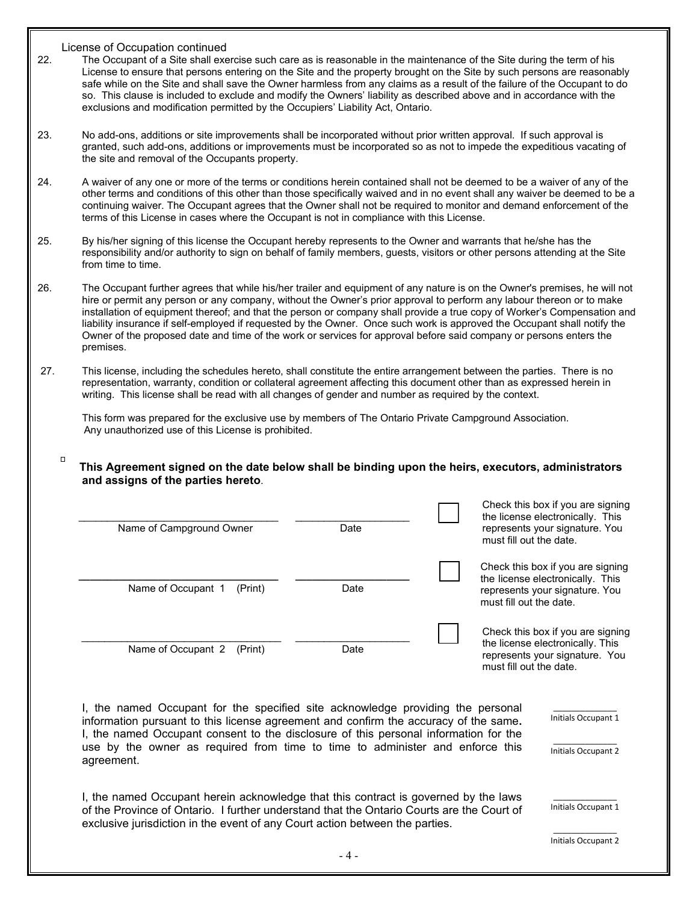$\Box$ 

- 22. The Occupant of a Site shall exercise such care as is reasonable in the maintenance of the Site during the term of his License to ensure that persons entering on the Site and the property brought on the Site by such persons are reasonably safe while on the Site and shall save the Owner harmless from any claims as a result of the failure of the Occupant to do so. This clause is included to exclude and modify the Owners' liability as described above and in accordance with the exclusions and modification permitted by the Occupiers' Liability Act, Ontario.
- 23. No add-ons, additions or site improvements shall be incorporated without prior written approval. If such approval is granted, such add-ons, additions or improvements must be incorporated so as not to impede the expeditious vacating of the site and removal of the Occupants property.
- 24. A waiver of any one or more of the terms or conditions herein contained shall not be deemed to be a waiver of any of the other terms and conditions of this other than those specifically waived and in no event shall any waiver be deemed to be a continuing waiver. The Occupant agrees that the Owner shall not be required to monitor and demand enforcement of the terms of this License in cases where the Occupant is not in compliance with this License.
- 25. By his/her signing of this license the Occupant hereby represents to the Owner and warrants that he/she has the responsibility and/or authority to sign on behalf of family members, guests, visitors or other persons attending at the Site from time to time.
- 26. The Occupant further agrees that while his/her trailer and equipment of any nature is on the Owner's premises, he will not hire or permit any person or any company, without the Owner's prior approval to perform any labour thereon or to make installation of equipment thereof; and that the person or company shall provide a true copy of Worker's Compensation and liability insurance if self-employed if requested by the Owner. Once such work is approved the Occupant shall notify the Owner of the proposed date and time of the work or services for approval before said company or persons enters the premises.
- 27. This license, including the schedules hereto, shall constitute the entire arrangement between the parties. There is no representation, warranty, condition or collateral agreement affecting this document other than as expressed herein in writing. This license shall be read with all changes of gender and number as required by the context.

This form was prepared for the exclusive use by members of The Ontario Private Campground Association. Any unauthorized use of this License is prohibited.

**This Agreement signed on the date below shall be binding upon the heirs, executors, administrators and assigns of the parties hereto**.

| Name of Campground Owner                                                                                                                                                                                                                                                                                                                                       | Date  | Check this box if you are signing<br>the license electronically. This<br>represents your signature. You<br>must fill out the date. |                                                                                                         |
|----------------------------------------------------------------------------------------------------------------------------------------------------------------------------------------------------------------------------------------------------------------------------------------------------------------------------------------------------------------|-------|------------------------------------------------------------------------------------------------------------------------------------|---------------------------------------------------------------------------------------------------------|
| Name of Occupant 1<br>(Print)                                                                                                                                                                                                                                                                                                                                  | Date  | must fill out the date.                                                                                                            | Check this box if you are signing<br>the license electronically. This<br>represents your signature. You |
| Name of Occupant 2<br>(Print)                                                                                                                                                                                                                                                                                                                                  | Date  | must fill out the date.                                                                                                            | Check this box if you are signing<br>the license electronically. This<br>represents your signature. You |
| I, the named Occupant for the specified site acknowledge providing the personal<br>information pursuant to this license agreement and confirm the accuracy of the same.<br>I, the named Occupant consent to the disclosure of this personal information for the<br>use by the owner as required from time to time to administer and enforce this<br>agreement. |       |                                                                                                                                    | Initials Occupant 1<br>Initials Occupant 2                                                              |
| I, the named Occupant herein acknowledge that this contract is governed by the laws<br>of the Province of Ontario. I further understand that the Ontario Courts are the Court of<br>exclusive jurisdiction in the event of any Court action between the parties.                                                                                               |       |                                                                                                                                    | Initials Occupant 1<br><b>Initials Occupant 2</b>                                                       |
|                                                                                                                                                                                                                                                                                                                                                                | - 4 - |                                                                                                                                    |                                                                                                         |